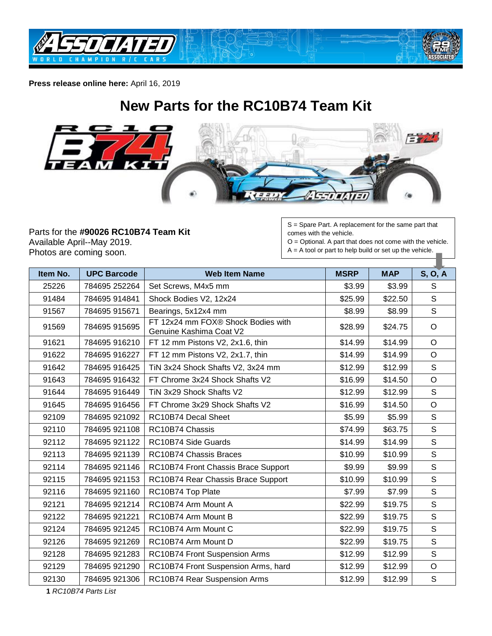



**Press release online here:** April 16, 2019

## **New Parts for the RC10B74 Team Kit**



Parts for the **#90026 RC10B74 Team Kit** Available April--May 2019. Photos are coming soon.

S = Spare Part. A replacement for the same part that comes with the vehicle.

O = Optional. A part that does not come with the vehicle.  $A = A$  tool or part to help build or set up the vehicle.

| Item No. | <b>UPC Barcode</b> | <b>Web Item Name</b>                                          | <b>MSRP</b> | <b>MAP</b> | S, O, A      |
|----------|--------------------|---------------------------------------------------------------|-------------|------------|--------------|
| 25226    | 784695 252264      | Set Screws, M4x5 mm                                           | \$3.99      | \$3.99     | S            |
| 91484    | 784695 914841      | Shock Bodies V2, 12x24                                        | \$25.99     | \$22.50    | S            |
| 91567    | 784695 915671      | Bearings, 5x12x4 mm                                           | \$8.99      | \$8.99     | S            |
| 91569    | 784695 915695      | FT 12x24 mm FOX® Shock Bodies with<br>Genuine Kashima Coat V2 | \$28.99     | \$24.75    | $\circ$      |
| 91621    | 784695 916210      | FT 12 mm Pistons V2, 2x1.6, thin                              | \$14.99     | \$14.99    | $\circ$      |
| 91622    | 784695 916227      | FT 12 mm Pistons V2, 2x1.7, thin                              | \$14.99     | \$14.99    | $\circ$      |
| 91642    | 784695 916425      | TiN 3x24 Shock Shafts V2, 3x24 mm                             | \$12.99     | \$12.99    | $\mathsf{S}$ |
| 91643    | 784695 916432      | FT Chrome 3x24 Shock Shafts V2                                | \$16.99     | \$14.50    | $\circ$      |
| 91644    | 784695 916449      | TiN 3x29 Shock Shafts V2                                      | \$12.99     | \$12.99    | $\mathsf S$  |
| 91645    | 784695 916456      | FT Chrome 3x29 Shock Shafts V2                                | \$16.99     | \$14.50    | $\circ$      |
| 92109    | 784695 921092      | RC10B74 Decal Sheet                                           | \$5.99      | \$5.99     | $\mathsf{s}$ |
| 92110    | 784695 921108      | RC10B74 Chassis                                               | \$74.99     | \$63.75    | $\mathsf S$  |
| 92112    | 784695 921122      | RC10B74 Side Guards                                           | \$14.99     | \$14.99    | $\mathsf{S}$ |
| 92113    | 784695 921139      | RC10B74 Chassis Braces                                        | \$10.99     | \$10.99    | S            |
| 92114    | 784695 921146      | RC10B74 Front Chassis Brace Support                           | \$9.99      | \$9.99     | $\mathsf{S}$ |
| 92115    | 784695 921153      | RC10B74 Rear Chassis Brace Support                            | \$10.99     | \$10.99    | $\mathsf S$  |
| 92116    | 784695 921160      | RC10B74 Top Plate                                             | \$7.99      | \$7.99     | S            |
| 92121    | 784695 921214      | RC10B74 Arm Mount A                                           | \$22.99     | \$19.75    | $\mathsf S$  |
| 92122    | 784695 921221      | RC10B74 Arm Mount B                                           | \$22.99     | \$19.75    | $\mathsf S$  |
| 92124    | 784695 921245      | RC10B74 Arm Mount C                                           | \$22.99     | \$19.75    | $\mathsf S$  |
| 92126    | 784695 921269      | RC10B74 Arm Mount D                                           | \$22.99     | \$19.75    | S            |
| 92128    | 784695 921283      | RC10B74 Front Suspension Arms                                 | \$12.99     | \$12.99    | S            |
| 92129    | 784695 921290      | RC10B74 Front Suspension Arms, hard                           | \$12.99     | \$12.99    | $\circ$      |
| 92130    | 784695 921306      | RC10B74 Rear Suspension Arms                                  | \$12.99     | \$12.99    | $\mathsf S$  |

*RC10B74 Parts List*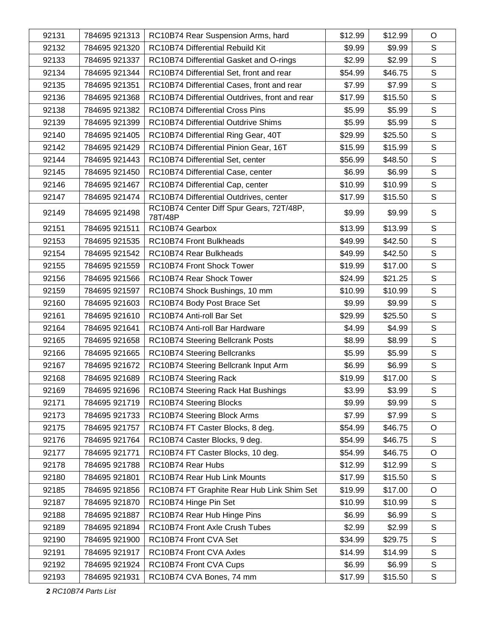| 92131 | 784695 921313 | RC10B74 Rear Suspension Arms, hard                  | \$12.99 | \$12.99 | O            |
|-------|---------------|-----------------------------------------------------|---------|---------|--------------|
| 92132 | 784695 921320 | RC10B74 Differential Rebuild Kit                    | \$9.99  | \$9.99  | $\mathsf S$  |
| 92133 | 784695 921337 | RC10B74 Differential Gasket and O-rings             | \$2.99  | \$2.99  | $\mathsf S$  |
| 92134 | 784695 921344 | RC10B74 Differential Set, front and rear            | \$54.99 | \$46.75 | $\mathsf S$  |
| 92135 | 784695 921351 | RC10B74 Differential Cases, front and rear          | \$7.99  | \$7.99  | $\mathsf S$  |
| 92136 | 784695 921368 | RC10B74 Differential Outdrives, front and rear      | \$17.99 | \$15.50 | $\mathsf S$  |
| 92138 | 784695 921382 | RC10B74 Differential Cross Pins                     | \$5.99  | \$5.99  | $\mathsf S$  |
| 92139 | 784695 921399 | <b>RC10B74 Differential Outdrive Shims</b>          | \$5.99  | \$5.99  | $\mathsf S$  |
| 92140 | 784695 921405 | RC10B74 Differential Ring Gear, 40T                 | \$29.99 | \$25.50 | $\mathsf S$  |
| 92142 | 784695 921429 | RC10B74 Differential Pinion Gear, 16T               | \$15.99 | \$15.99 | $\mathsf S$  |
| 92144 | 784695 921443 | RC10B74 Differential Set, center                    | \$56.99 | \$48.50 | $\mathsf S$  |
| 92145 | 784695 921450 | RC10B74 Differential Case, center                   | \$6.99  | \$6.99  | $\mathsf S$  |
| 92146 | 784695 921467 | RC10B74 Differential Cap, center                    | \$10.99 | \$10.99 | $\mathsf S$  |
| 92147 | 784695 921474 | RC10B74 Differential Outdrives, center              | \$17.99 | \$15.50 | $\mathsf S$  |
| 92149 | 784695 921498 | RC10B74 Center Diff Spur Gears, 72T/48P,<br>78T/48P | \$9.99  | \$9.99  | $\mathsf S$  |
| 92151 | 784695 921511 | RC10B74 Gearbox                                     | \$13.99 | \$13.99 | $\mathsf S$  |
| 92153 | 784695 921535 | RC10B74 Front Bulkheads                             | \$49.99 | \$42.50 | $\mathsf S$  |
| 92154 | 784695 921542 | RC10B74 Rear Bulkheads                              | \$49.99 | \$42.50 | $\mathsf S$  |
| 92155 | 784695 921559 | RC10B74 Front Shock Tower                           | \$19.99 | \$17.00 | $\mathsf S$  |
| 92156 | 784695 921566 | RC10B74 Rear Shock Tower                            | \$24.99 | \$21.25 | $\mathsf S$  |
| 92159 | 784695 921597 | RC10B74 Shock Bushings, 10 mm                       | \$10.99 | \$10.99 | $\mathsf S$  |
| 92160 | 784695 921603 | RC10B74 Body Post Brace Set                         | \$9.99  | \$9.99  | $\mathsf S$  |
| 92161 | 784695 921610 | RC10B74 Anti-roll Bar Set                           | \$29.99 | \$25.50 | $\mathsf S$  |
| 92164 | 784695 921641 | RC10B74 Anti-roll Bar Hardware                      | \$4.99  | \$4.99  | $\mathsf S$  |
| 92165 | 784695 921658 | <b>RC10B74 Steering Bellcrank Posts</b>             | \$8.99  | \$8.99  | $\mathsf S$  |
| 92166 | 784695 921665 | <b>RC10B74 Steering Bellcranks</b>                  | \$5.99  | \$5.99  | $\mathsf S$  |
| 92167 | 784695 921672 | RC10B74 Steering Bellcrank Input Arm                | \$6.99  | \$6.99  | $\mathsf S$  |
| 92168 | 784695 921689 | RC10B74 Steering Rack                               | \$19.99 | \$17.00 | $\mathbb S$  |
| 92169 | 784695 921696 | RC10B74 Steering Rack Hat Bushings                  | \$3.99  | \$3.99  | $\mathbb S$  |
| 92171 | 784695 921719 | RC10B74 Steering Blocks                             | \$9.99  | \$9.99  | S            |
| 92173 | 784695 921733 | RC10B74 Steering Block Arms                         | \$7.99  | \$7.99  | $\mathsf S$  |
| 92175 | 784695 921757 | RC10B74 FT Caster Blocks, 8 deg.                    | \$54.99 | \$46.75 | $\circ$      |
| 92176 | 784695 921764 | RC10B74 Caster Blocks, 9 deg.                       | \$54.99 | \$46.75 | S            |
| 92177 | 784695 921771 | RC10B74 FT Caster Blocks, 10 deg.                   | \$54.99 | \$46.75 | $\mathsf O$  |
| 92178 | 784695 921788 | RC10B74 Rear Hubs                                   | \$12.99 | \$12.99 | S            |
| 92180 | 784695 921801 | RC10B74 Rear Hub Link Mounts                        | \$17.99 | \$15.50 | S            |
| 92185 | 784695 921856 | RC10B74 FT Graphite Rear Hub Link Shim Set          | \$19.99 | \$17.00 | $\circ$      |
| 92187 | 784695 921870 | RC10B74 Hinge Pin Set                               | \$10.99 | \$10.99 | $\mathsf S$  |
| 92188 | 784695 921887 | RC10B74 Rear Hub Hinge Pins                         | \$6.99  | \$6.99  | $\mathsf S$  |
| 92189 | 784695 921894 | RC10B74 Front Axle Crush Tubes                      | \$2.99  | \$2.99  | S            |
| 92190 | 784695 921900 | RC10B74 Front CVA Set                               | \$34.99 | \$29.75 | $\mathsf S$  |
| 92191 | 784695 921917 | RC10B74 Front CVA Axles                             | \$14.99 | \$14.99 | S            |
| 92192 | 784695 921924 | RC10B74 Front CVA Cups                              | \$6.99  | \$6.99  | $\mathsf S$  |
| 92193 | 784695 921931 | RC10B74 CVA Bones, 74 mm                            | \$17.99 | \$15.50 | $\mathsf{S}$ |

*RC10B74 Parts List*